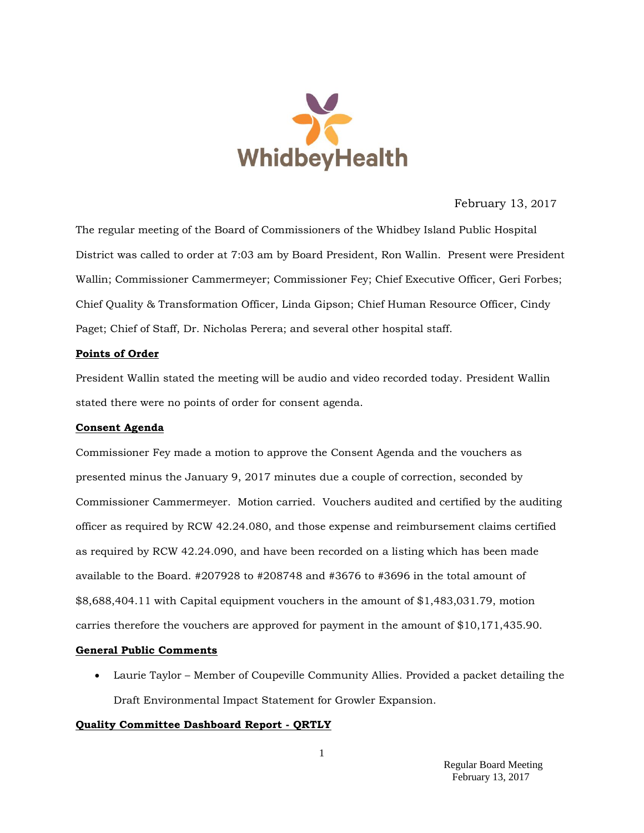

### February 13, 2017

The regular meeting of the Board of Commissioners of the Whidbey Island Public Hospital District was called to order at 7:03 am by Board President, Ron Wallin. Present were President Wallin; Commissioner Cammermeyer; Commissioner Fey; Chief Executive Officer, Geri Forbes; Chief Quality & Transformation Officer, Linda Gipson; Chief Human Resource Officer, Cindy Paget; Chief of Staff, Dr. Nicholas Perera; and several other hospital staff.

#### **Points of Order**

President Wallin stated the meeting will be audio and video recorded today. President Wallin stated there were no points of order for consent agenda.

#### **Consent Agenda**

Commissioner Fey made a motion to approve the Consent Agenda and the vouchers as presented minus the January 9, 2017 minutes due a couple of correction, seconded by Commissioner Cammermeyer. Motion carried. Vouchers audited and certified by the auditing officer as required by RCW 42.24.080, and those expense and reimbursement claims certified as required by RCW 42.24.090, and have been recorded on a listing which has been made available to the Board. #207928 to #208748 and #3676 to #3696 in the total amount of \$8,688,404.11 with Capital equipment vouchers in the amount of \$1,483,031.79, motion carries therefore the vouchers are approved for payment in the amount of \$10,171,435.90.

#### **General Public Comments**

 Laurie Taylor – Member of Coupeville Community Allies. Provided a packet detailing the Draft Environmental Impact Statement for Growler Expansion.

### **Quality Committee Dashboard Report - QRTLY**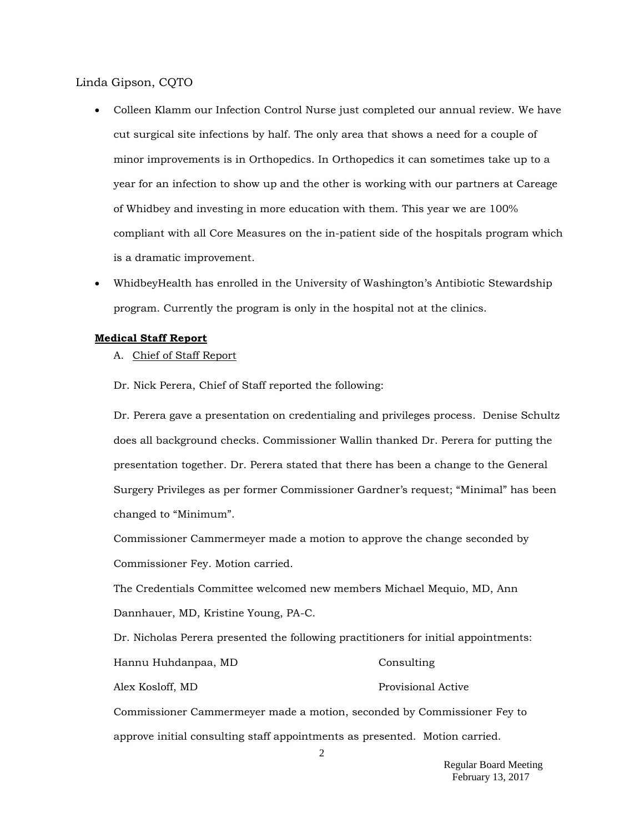Linda Gipson, CQTO

- Colleen Klamm our Infection Control Nurse just completed our annual review. We have cut surgical site infections by half. The only area that shows a need for a couple of minor improvements is in Orthopedics. In Orthopedics it can sometimes take up to a year for an infection to show up and the other is working with our partners at Careage of Whidbey and investing in more education with them. This year we are 100% compliant with all Core Measures on the in-patient side of the hospitals program which is a dramatic improvement.
- WhidbeyHealth has enrolled in the University of Washington's Antibiotic Stewardship program. Currently the program is only in the hospital not at the clinics.

#### **Medical Staff Report**

- A. Chief of Staff Report
- Dr. Nick Perera, Chief of Staff reported the following:

Dr. Perera gave a presentation on credentialing and privileges process. Denise Schultz does all background checks. Commissioner Wallin thanked Dr. Perera for putting the presentation together. Dr. Perera stated that there has been a change to the General Surgery Privileges as per former Commissioner Gardner's request; "Minimal" has been changed to "Minimum".

Commissioner Cammermeyer made a motion to approve the change seconded by Commissioner Fey. Motion carried.

The Credentials Committee welcomed new members Michael Mequio, MD, Ann Dannhauer, MD, Kristine Young, PA-C.

Dr. Nicholas Perera presented the following practitioners for initial appointments: Hannu Huhdanpaa, MD Consulting Alex Kosloff, MD Provisional Active Commissioner Cammermeyer made a motion, seconded by Commissioner Fey to

approve initial consulting staff appointments as presented. Motion carried.

 Regular Board Meeting February 13, 2017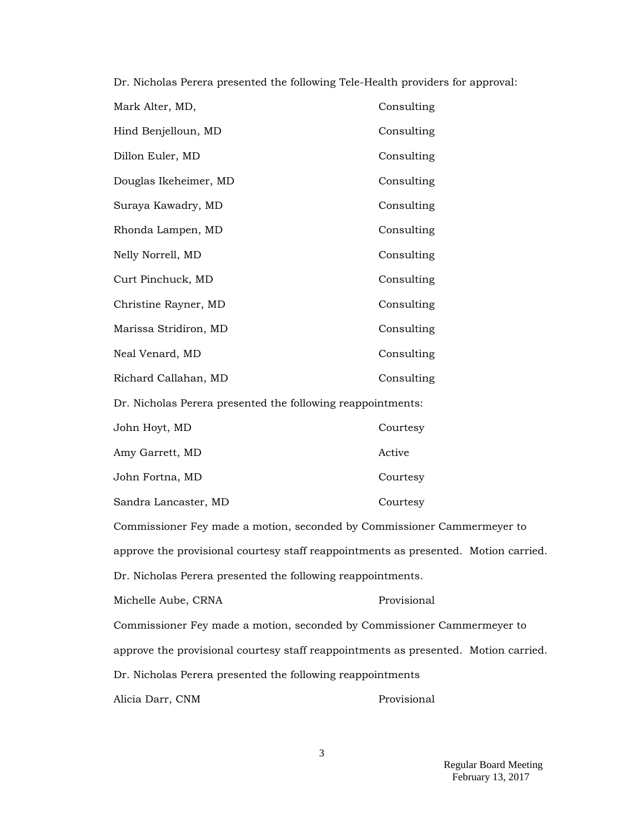Dr. Nicholas Perera presented the following Tele-Health providers for approval:

| Mark Alter, MD,                                                                     | Consulting  |  |  |  |
|-------------------------------------------------------------------------------------|-------------|--|--|--|
| Hind Benjelloun, MD                                                                 | Consulting  |  |  |  |
| Dillon Euler, MD                                                                    | Consulting  |  |  |  |
| Douglas Ikeheimer, MD                                                               | Consulting  |  |  |  |
| Suraya Kawadry, MD                                                                  | Consulting  |  |  |  |
| Rhonda Lampen, MD                                                                   | Consulting  |  |  |  |
| Nelly Norrell, MD                                                                   | Consulting  |  |  |  |
| Curt Pinchuck, MD                                                                   | Consulting  |  |  |  |
| Christine Rayner, MD                                                                | Consulting  |  |  |  |
| Marissa Stridiron, MD                                                               | Consulting  |  |  |  |
| Neal Venard, MD                                                                     | Consulting  |  |  |  |
| Richard Callahan, MD                                                                | Consulting  |  |  |  |
| Dr. Nicholas Perera presented the following reappointments:                         |             |  |  |  |
| John Hoyt, MD                                                                       | Courtesy    |  |  |  |
| Amy Garrett, MD                                                                     | Active      |  |  |  |
| John Fortna, MD                                                                     | Courtesy    |  |  |  |
| Sandra Lancaster, MD                                                                | Courtesy    |  |  |  |
| Commissioner Fey made a motion, seconded by Commissioner Cammermeyer to             |             |  |  |  |
| approve the provisional courtesy staff reappointments as presented. Motion carried. |             |  |  |  |
| Dr. Nicholas Perera presented the following reappointments.                         |             |  |  |  |
| Michelle Aube, CRNA                                                                 | Provisional |  |  |  |
| Commissioner Fey made a motion, seconded by Commissioner Cammermeyer to             |             |  |  |  |
| approve the provisional courtesy staff reappointments as presented. Motion carried. |             |  |  |  |
| Dr. Nicholas Perera presented the following reappointments                          |             |  |  |  |
|                                                                                     |             |  |  |  |

Alicia Darr, CNM Provisional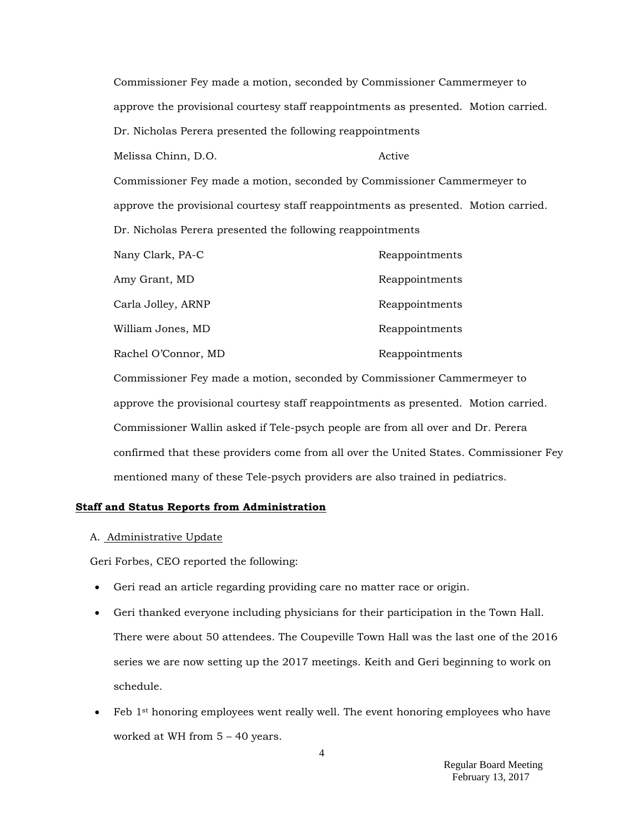Commissioner Fey made a motion, seconded by Commissioner Cammermeyer to approve the provisional courtesy staff reappointments as presented. Motion carried. Dr. Nicholas Perera presented the following reappointments Melissa Chinn, D.O. Active Commissioner Fey made a motion, seconded by Commissioner Cammermeyer to approve the provisional courtesy staff reappointments as presented. Motion carried.

| Dr. Nicholas Perera presented the following reappointments |  |  |  |  |  |  |  |  |
|------------------------------------------------------------|--|--|--|--|--|--|--|--|
|------------------------------------------------------------|--|--|--|--|--|--|--|--|

| Nany Clark, PA-C    | Reappointments |
|---------------------|----------------|
| Amy Grant, MD       | Reappointments |
| Carla Jolley, ARNP  | Reappointments |
| William Jones, MD   | Reappointments |
| Rachel O'Connor, MD | Reappointments |

Commissioner Fey made a motion, seconded by Commissioner Cammermeyer to approve the provisional courtesy staff reappointments as presented. Motion carried. Commissioner Wallin asked if Tele-psych people are from all over and Dr. Perera confirmed that these providers come from all over the United States. Commissioner Fey mentioned many of these Tele-psych providers are also trained in pediatrics.

### **Staff and Status Reports from Administration**

### A. Administrative Update

Geri Forbes, CEO reported the following:

- Geri read an article regarding providing care no matter race or origin.
- Geri thanked everyone including physicians for their participation in the Town Hall. There were about 50 attendees. The Coupeville Town Hall was the last one of the 2016 series we are now setting up the 2017 meetings. Keith and Geri beginning to work on schedule.
- Feb 1st honoring employees went really well. The event honoring employees who have worked at WH from 5 – 40 years.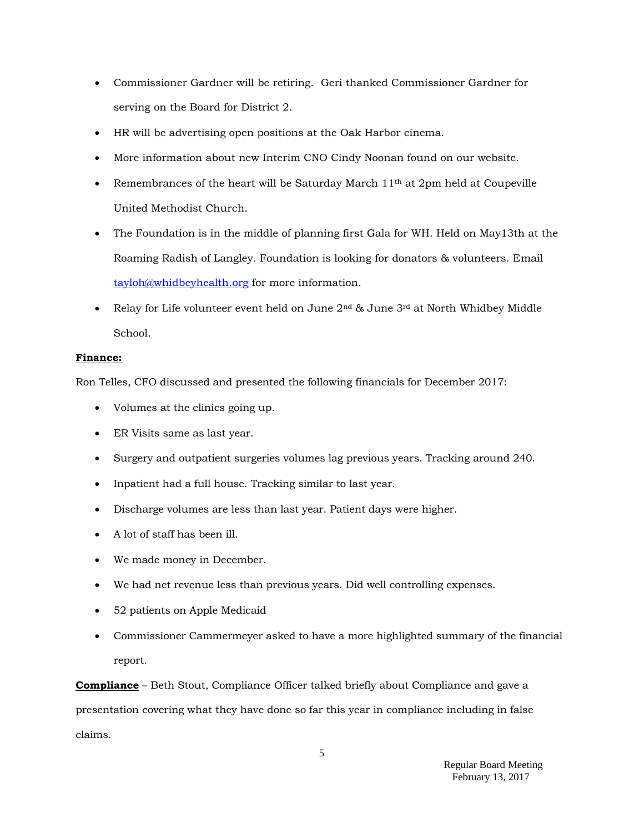- Commissioner Gardner will be retiring. Geri thanked Commissioner Gardner for serving on the Board for District 2.
- HR will be advertising open positions at the Oak Harbor cinema.
- More information about new Interim CNO Cindy Noonan found on our website.
- Exemembrances of the heart will be Saturday March  $11<sup>th</sup>$  at 2pm held at Coupeville United Methodist Church.
- The Foundation is in the middle of planning first Gala for WH. Held on May13th at the Roaming Radish of Langley. Foundation is looking for donators & volunteers. Email [tayloh@whidbeyhealth.org](mailto:tayloh@whidbeyhealth.org) for more information.
- Relay for Life volunteer event held on June  $2<sup>nd</sup>$  & June  $3<sup>rd</sup>$  at North Whidbey Middle School.

## **Finance:**

Ron Telles, CFO discussed and presented the following financials for December 2017:

- Volumes at the clinics going up.
- ER Visits same as last year.
- Surgery and outpatient surgeries volumes lag previous years. Tracking around 240.
- Inpatient had a full house. Tracking similar to last year.
- Discharge volumes are less than last year. Patient days were higher.
- A lot of staff has been ill.
- We made money in December.
- We had net revenue less than previous years. Did well controlling expenses.
- 52 patients on Apple Medicaid
- Commissioner Cammermeyer asked to have a more highlighted summary of the financial report.

**Compliance** – Beth Stout, Compliance Officer talked briefly about Compliance and gave a presentation covering what they have done so far this year in compliance including in false claims.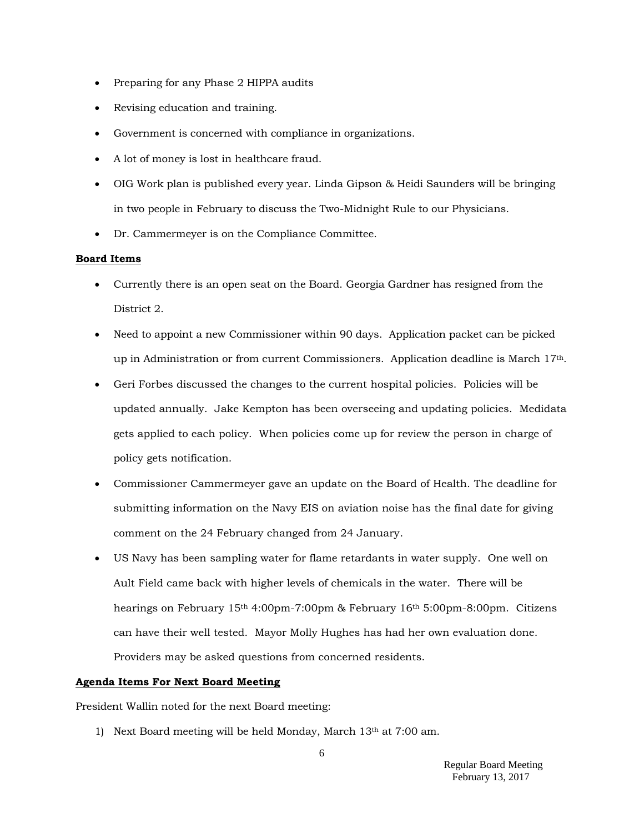- Preparing for any Phase 2 HIPPA audits
- Revising education and training.
- Government is concerned with compliance in organizations.
- A lot of money is lost in healthcare fraud.
- OIG Work plan is published every year. Linda Gipson & Heidi Saunders will be bringing in two people in February to discuss the Two-Midnight Rule to our Physicians.
- Dr. Cammermeyer is on the Compliance Committee.

### **Board Items**

- Currently there is an open seat on the Board. Georgia Gardner has resigned from the District 2.
- Need to appoint a new Commissioner within 90 days. Application packet can be picked up in Administration or from current Commissioners. Application deadline is March 17th.
- Geri Forbes discussed the changes to the current hospital policies. Policies will be updated annually. Jake Kempton has been overseeing and updating policies. Medidata gets applied to each policy. When policies come up for review the person in charge of policy gets notification.
- Commissioner Cammermeyer gave an update on the Board of Health. The deadline for submitting information on the Navy EIS on aviation noise has the final date for giving comment on the 24 February changed from 24 January.
- US Navy has been sampling water for flame retardants in water supply. One well on Ault Field came back with higher levels of chemicals in the water. There will be hearings on February 15th 4:00pm-7:00pm & February 16th 5:00pm-8:00pm. Citizens can have their well tested. Mayor Molly Hughes has had her own evaluation done. Providers may be asked questions from concerned residents.

#### **Agenda Items For Next Board Meeting**

President Wallin noted for the next Board meeting:

1) Next Board meeting will be held Monday, March 13th at 7:00 am.